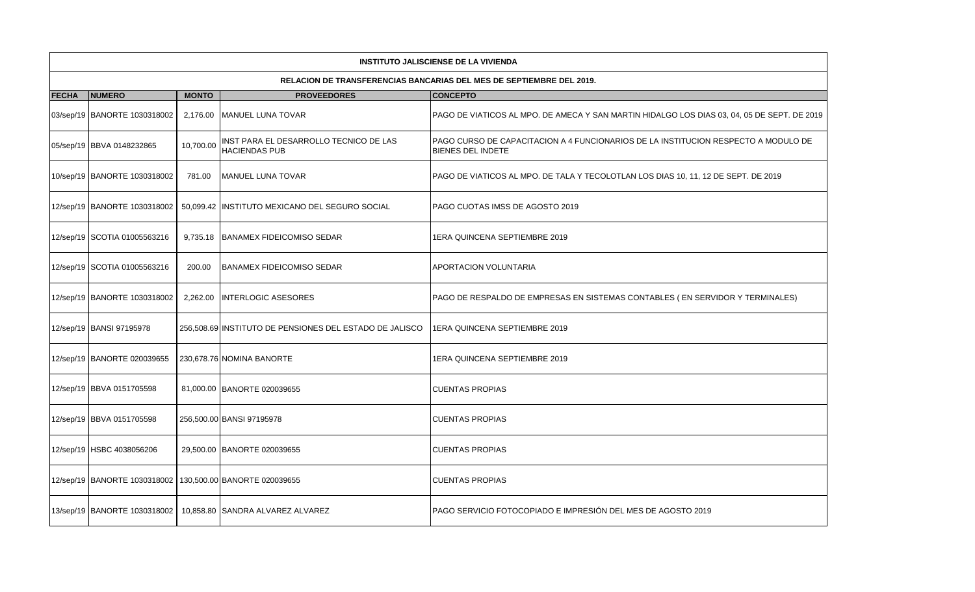|              | <b>INSTITUTO JALISCIENSE DE LA VIVIENDA</b> |              |                                                                |                                                                                                         |  |  |  |  |  |  |
|--------------|---------------------------------------------|--------------|----------------------------------------------------------------|---------------------------------------------------------------------------------------------------------|--|--|--|--|--|--|
|              |                                             |              |                                                                | RELACION DE TRANSFERENCIAS BANCARIAS DEL MES DE SEPTIEMBRE DEL 2019.                                    |  |  |  |  |  |  |
| <b>FECHA</b> | <b>NUMERO</b>                               | <b>MONTO</b> | <b>PROVEEDORES</b>                                             | <b>CONCEPTO</b>                                                                                         |  |  |  |  |  |  |
|              | 03/sep/19 BANORTE 1030318002                |              | 2,176.00 MANUEL LUNA TOVAR                                     | PAGO DE VIATICOS AL MPO. DE AMECA Y SAN MARTIN HIDALGO LOS DIAS 03, 04, 05 DE SEPT. DE 2019             |  |  |  |  |  |  |
|              | 05/sep/19 BBVA 0148232865                   | 10,700.00    | INST PARA EL DESARROLLO TECNICO DE LAS<br><b>HACIENDAS PUB</b> | PAGO CURSO DE CAPACITACION A 4 FUNCIONARIOS DE LA INSTITUCION RESPECTO A MODULO DE<br>BIENES DEL INDETE |  |  |  |  |  |  |
|              | 10/sep/19 BANORTE 1030318002                | 781.00       | <b>IMANUEL LUNA TOVAR</b>                                      | PAGO DE VIATICOS AL MPO. DE TALA Y TECOLOTLAN LOS DIAS 10, 11, 12 DE SEPT. DE 2019                      |  |  |  |  |  |  |
|              | 12/sep/19 BANORTE 1030318002                |              | 50,099.42  INSTITUTO MEXICANO DEL SEGURO SOCIAL                | PAGO CUOTAS IMSS DE AGOSTO 2019                                                                         |  |  |  |  |  |  |
|              | 12/sep/19 SCOTIA 01005563216                |              | 9,735.18   BANAMEX FIDEICOMISO SEDAR                           | 1ERA QUINCENA SEPTIEMBRE 2019                                                                           |  |  |  |  |  |  |
|              | 12/sep/19 SCOTIA 01005563216                | 200.00       | <b>BANAMEX FIDEICOMISO SEDAR</b>                               | APORTACION VOLUNTARIA                                                                                   |  |  |  |  |  |  |
|              | 12/sep/19 BANORTE 1030318002                | 2,262.00     | <b>INTERLOGIC ASESORES</b>                                     | PAGO DE RESPALDO DE EMPRESAS EN SISTEMAS CONTABLES (EN SERVIDOR Y TERMINALES)                           |  |  |  |  |  |  |
|              | 12/sep/19 BANSI 97195978                    |              | 256,508.69 INSTITUTO DE PENSIONES DEL ESTADO DE JALISCO        | 1ERA QUINCENA SEPTIEMBRE 2019                                                                           |  |  |  |  |  |  |
|              | 12/sep/19 BANORTE 020039655                 |              | 230,678.76 NOMINA BANORTE                                      | 1ERA QUINCENA SEPTIEMBRE 2019                                                                           |  |  |  |  |  |  |
|              | 12/sep/19 BBVA 0151705598                   |              | 81,000.00 BANORTE 020039655                                    | CUENTAS PROPIAS                                                                                         |  |  |  |  |  |  |
|              | 12/sep/19 BBVA 0151705598                   |              | 256,500.00 BANSI 97195978                                      | <b>CUENTAS PROPIAS</b>                                                                                  |  |  |  |  |  |  |
|              | 12/sep/19 HSBC 4038056206                   |              | 29,500.00 BANORTE 020039655                                    | <b>CUENTAS PROPIAS</b>                                                                                  |  |  |  |  |  |  |
|              | 12/sep/19 BANORTE 1030318002                |              | 130,500.00 BANORTE 020039655                                   | <b>CUENTAS PROPIAS</b>                                                                                  |  |  |  |  |  |  |
|              | 13/sep/19 BANORTE 1030318002                |              | 10,858.80 SANDRA ALVAREZ ALVAREZ                               | PAGO SERVICIO FOTOCOPIADO E IMPRESIÓN DEL MES DE AGOSTO 2019                                            |  |  |  |  |  |  |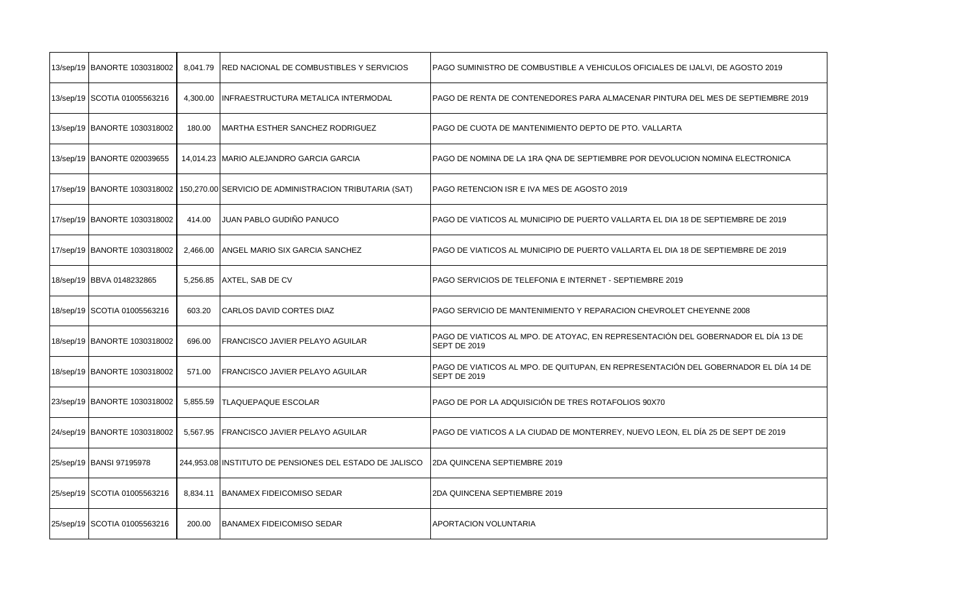| 13/sep/19 BANORTE 1030318002 | 8,041.79 | <b>RED NACIONAL DE COMBUSTIBLES Y SERVICIOS</b>         | PAGO SUMINISTRO DE COMBUSTIBLE A VEHICULOS OFICIALES DE IJALVI, DE AGOSTO 2019                             |
|------------------------------|----------|---------------------------------------------------------|------------------------------------------------------------------------------------------------------------|
| 13/sep/19 SCOTIA 01005563216 | 4,300.00 | INFRAESTRUCTURA METALICA INTERMODAL                     | PAGO DE RENTA DE CONTENEDORES PARA ALMACENAR PINTURA DEL MES DE SEPTIEMBRE 2019                            |
| 13/sep/19 BANORTE 1030318002 | 180.00   | <b>MARTHA ESTHER SANCHEZ RODRIGUEZ</b>                  | PAGO DE CUOTA DE MANTENIMIENTO DEPTO DE PTO. VALLARTA                                                      |
| 13/sep/19 BANORTE 020039655  |          | 14,014.23   MARIO ALEJANDRO GARCIA GARCIA               | PAGO DE NOMINA DE LA 1RA QNA DE SEPTIEMBRE POR DEVOLUCION NOMINA ELECTRONICA                               |
| 17/sep/19 BANORTE 1030318002 |          | 150,270.00 SERVICIO DE ADMINISTRACION TRIBUTARIA (SAT)  | PAGO RETENCION ISR E IVA MES DE AGOSTO 2019                                                                |
| 17/sep/19 BANORTE 1030318002 | 414.00   | JUAN PABLO GUDIÑO PANUCO                                | PAGO DE VIATICOS AL MUNICIPIO DE PUERTO VALLARTA EL DIA 18 DE SEPTIEMBRE DE 2019                           |
| 17/sep/19 BANORTE 1030318002 | 2,466.00 | ANGEL MARIO SIX GARCIA SANCHEZ                          | PAGO DE VIATICOS AL MUNICIPIO DE PUERTO VALLARTA EL DIA 18 DE SEPTIEMBRE DE 2019                           |
| 18/sep/19 BBVA 0148232865    | 5,256.85 | AXTEL, SAB DE CV                                        | PAGO SERVICIOS DE TELEFONIA E INTERNET - SEPTIEMBRE 2019                                                   |
| 18/sep/19 SCOTIA 01005563216 | 603.20   | CARLOS DAVID CORTES DIAZ                                | PAGO SERVICIO DE MANTENIMIENTO Y REPARACION CHEVROLET CHEYENNE 2008                                        |
| 18/sep/19 BANORTE 1030318002 | 696.00   | FRANCISCO JAVIER PELAYO AGUILAR                         | PAGO DE VIATICOS AL MPO. DE ATOYAC, EN REPRESENTACIÓN DEL GOBERNADOR EL DÍA 13 DE<br><b>SEPT DE 2019</b>   |
| 18/sep/19 BANORTE 1030318002 | 571.00   | FRANCISCO JAVIER PELAYO AGUILAR                         | PAGO DE VIATICOS AL MPO. DE QUITUPAN, EN REPRESENTACIÓN DEL GOBERNADOR EL DÍA 14 DE<br><b>SEPT DE 2019</b> |
| 23/sep/19 BANORTE 1030318002 | 5,855.59 | <b>TLAQUEPAQUE ESCOLAR</b>                              | PAGO DE POR LA ADQUISICIÓN DE TRES ROTAFOLIOS 90X70                                                        |
| 24/sep/19 BANORTE 1030318002 | 5,567.95 | FRANCISCO JAVIER PELAYO AGUILAR                         | PAGO DE VIATICOS A LA CIUDAD DE MONTERREY, NUEVO LEON, EL DÍA 25 DE SEPT DE 2019                           |
| 25/sep/19 BANSI 97195978     |          | 244,953.08 INSTITUTO DE PENSIONES DEL ESTADO DE JALISCO | 2DA QUINCENA SEPTIEMBRE 2019                                                                               |
| 25/sep/19 SCOTIA 01005563216 | 8.834.11 | <b>BANAMEX FIDEICOMISO SEDAR</b>                        | 2DA QUINCENA SEPTIEMBRE 2019                                                                               |
| 25/sep/19 SCOTIA 01005563216 | 200.00   | <b>BANAMEX FIDEICOMISO SEDAR</b>                        | APORTACION VOLUNTARIA                                                                                      |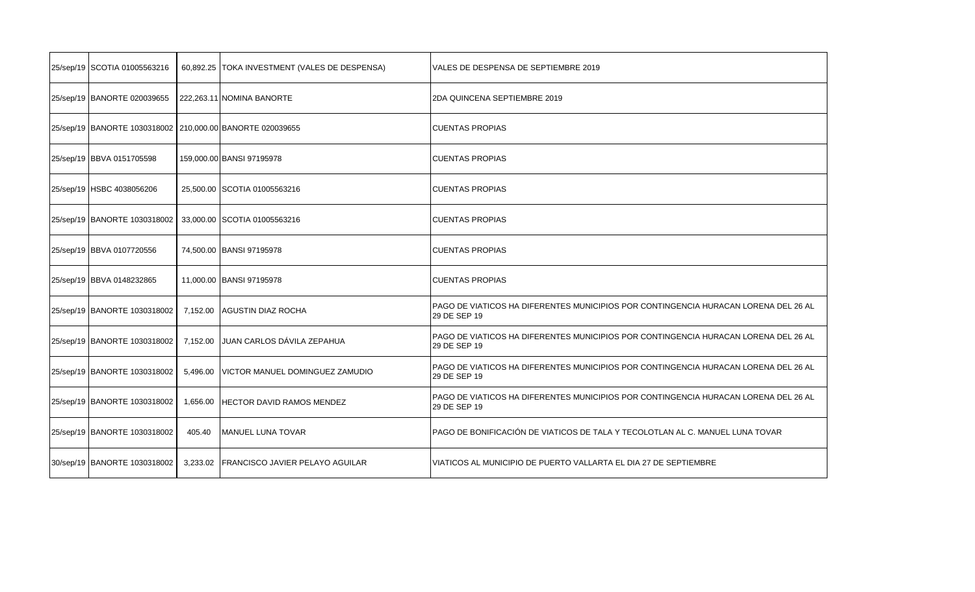| 25/sep/19 SCOTIA 01005563216 |          | 60,892.25 TOKA INVESTMENT (VALES DE DESPENSA) | VALES DE DESPENSA DE SEPTIEMBRE 2019                                                                |
|------------------------------|----------|-----------------------------------------------|-----------------------------------------------------------------------------------------------------|
| 25/sep/19 BANORTE 020039655  |          | 222,263.11 NOMINA BANORTE                     | 2DA QUINCENA SEPTIEMBRE 2019                                                                        |
| 25/sep/19 BANORTE 1030318002 |          | 210,000.00 BANORTE 020039655                  | <b>CUENTAS PROPIAS</b>                                                                              |
| 25/sep/19 BBVA 0151705598    |          | 159,000.00 BANSI 97195978                     | <b>CUENTAS PROPIAS</b>                                                                              |
| 25/sep/19 HSBC 4038056206    |          | 25,500.00 SCOTIA 01005563216                  | <b>CUENTAS PROPIAS</b>                                                                              |
| 25/sep/19 BANORTE 1030318002 |          | 33,000.00 SCOTIA 01005563216                  | <b>CUENTAS PROPIAS</b>                                                                              |
| 25/sep/19 BBVA 0107720556    |          | 74,500.00 BANSI 97195978                      | <b>CUENTAS PROPIAS</b>                                                                              |
| 25/sep/19 BBVA 0148232865    |          | 11,000.00 BANSI 97195978                      | <b>CUENTAS PROPIAS</b>                                                                              |
| 25/sep/19 BANORTE 1030318002 | 7,152.00 | <b>AGUSTIN DIAZ ROCHA</b>                     | PAGO DE VIATICOS HA DIFERENTES MUNICIPIOS POR CONTINGENCIA HURACAN LORENA DEL 26 AL<br>29 DE SEP 19 |
| 25/sep/19 BANORTE 1030318002 | 7,152.00 | JUAN CARLOS DÁVILA ZEPAHUA                    | PAGO DE VIATICOS HA DIFERENTES MUNICIPIOS POR CONTINGENCIA HURACAN LORENA DEL 26 AL<br>29 DE SEP 19 |
| 25/sep/19 BANORTE 1030318002 | 5,496.00 | VICTOR MANUEL DOMINGUEZ ZAMUDIO               | PAGO DE VIATICOS HA DIFERENTES MUNICIPIOS POR CONTINGENCIA HURACAN LORENA DEL 26 AL<br>29 DE SEP 19 |
| 25/sep/19 BANORTE 1030318002 | 1,656.00 | <b>HECTOR DAVID RAMOS MENDEZ</b>              | PAGO DE VIATICOS HA DIFERENTES MUNICIPIOS POR CONTINGENCIA HURACAN LORENA DEL 26 AL<br>29 DE SEP 19 |
| 25/sep/19 BANORTE 1030318002 | 405.40   | MANUEL LUNA TOVAR                             | PAGO DE BONIFICACIÓN DE VIATICOS DE TALA Y TECOLOTLAN AL C. MANUEL LUNA TOVAR                       |
| 30/sep/19 BANORTE 1030318002 |          | 3,233.02   FRANCISCO JAVIER PELAYO AGUILAR    | VIATICOS AL MUNICIPIO DE PUERTO VALLARTA EL DIA 27 DE SEPTIEMBRE                                    |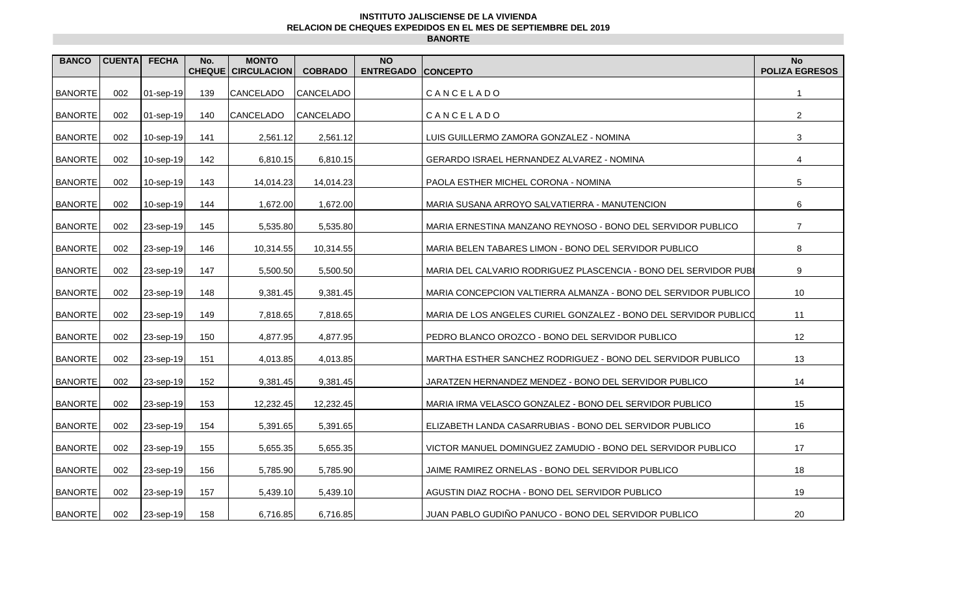## **INSTITUTO JALISCIENSE DE LA VIVIENDA RELACION DE CHEQUES EXPEDIDOS EN EL MES DE SEPTIEMBRE DEL 2019 BANORTE**

| <b>BANCO</b>   | <b>CUENTA</b> | <b>FECHA</b> | No.<br><b>CHEQUE</b> | <b>MONTO</b><br><b>CIRCULACION</b> | <b>COBRADO</b> | <b>NO</b><br><b>ENTREGADO CONCEPTO</b> |                                                                  | <b>No</b><br><b>POLIZA EGRESOS</b> |
|----------------|---------------|--------------|----------------------|------------------------------------|----------------|----------------------------------------|------------------------------------------------------------------|------------------------------------|
| <b>BANORTE</b> | 002           | $01$ -sep-19 | 139                  | <b>CANCELADO</b>                   | CANCELADO      |                                        | CANCELADO                                                        | $\mathbf{1}$                       |
| <b>BANORTE</b> | 002           | $01$ -sep-19 | 140                  | <b>CANCELADO</b>                   | CANCELADO      |                                        | CANCELADO                                                        | $\overline{2}$                     |
| <b>BANORTE</b> | 002           | $10$ -sep-19 | 141                  | 2,561.12                           | 2,561.12       |                                        | LUIS GUILLERMO ZAMORA GONZALEZ - NOMINA                          | 3                                  |
| <b>BANORTE</b> | 002           | 10-sep-19    | 142                  | 6,810.15                           | 6,810.15       |                                        | GERARDO ISRAEL HERNANDEZ ALVAREZ - NOMINA                        | 4                                  |
| <b>BANORTE</b> | 002           | 10-sep-19    | 143                  | 14,014.23                          | 14,014.23      |                                        | PAOLA ESTHER MICHEL CORONA - NOMINA                              | $\overline{5}$                     |
| <b>BANORTE</b> | 002           | $10$ -sep-19 | 144                  | 1,672.00                           | 1,672.00       |                                        | MARIA SUSANA ARROYO SALVATIERRA - MANUTENCION                    | 6                                  |
| <b>BANORTE</b> | 002           | 23-sep-19    | 145                  | 5,535.80                           | 5,535.80       |                                        | MARIA ERNESTINA MANZANO REYNOSO - BONO DEL SERVIDOR PUBLICO      | $\overline{7}$                     |
| <b>BANORTE</b> | 002           | 23-sep-19    | 146                  | 10,314.55                          | 10,314.55      |                                        | MARIA BELEN TABARES LIMON - BONO DEL SERVIDOR PUBLICO            | 8                                  |
| <b>BANORTE</b> | 002           | $23$ -sep-19 | 147                  | 5,500.50                           | 5,500.50       |                                        | MARIA DEL CALVARIO RODRIGUEZ PLASCENCIA - BONO DEL SERVIDOR PUBL | 9                                  |
| <b>BANORTE</b> | 002           | 23-sep-19    | 148                  | 9,381.45                           | 9,381.45       |                                        | MARIA CONCEPCION VALTIERRA ALMANZA - BONO DEL SERVIDOR PUBLICO   | 10                                 |
| <b>BANORTE</b> | 002           | 23-sep-19    | 149                  | 7,818.65                           | 7,818.65       |                                        | MARIA DE LOS ANGELES CURIEL GONZALEZ - BONO DEL SERVIDOR PUBLICO | 11                                 |
| <b>BANORTE</b> | 002           | 23-sep-19    | 150                  | 4,877.95                           | 4,877.95       |                                        | PEDRO BLANCO OROZCO - BONO DEL SERVIDOR PUBLICO                  | 12                                 |
| <b>BANORTE</b> | 002           | 23-sep-19    | 151                  | 4,013.85                           | 4,013.85       |                                        | MARTHA ESTHER SANCHEZ RODRIGUEZ - BONO DEL SERVIDOR PUBLICO      | 13                                 |
| <b>BANORTE</b> | 002           | 23-sep-19    | 152                  | 9,381.45                           | 9,381.45       |                                        | JARATZEN HERNANDEZ MENDEZ - BONO DEL SERVIDOR PUBLICO            | 14                                 |
| <b>BANORTE</b> | 002           | 23-sep-19    | 153                  | 12,232.45                          | 12,232.45      |                                        | MARIA IRMA VELASCO GONZALEZ - BONO DEL SERVIDOR PUBLICO          | 15                                 |
| <b>BANORTE</b> | 002           | 23-sep-19    | 154                  | 5,391.65                           | 5,391.65       |                                        | ELIZABETH LANDA CASARRUBIAS - BONO DEL SERVIDOR PUBLICO          | 16                                 |
| <b>BANORTE</b> | 002           | 23-sep-19    | 155                  | 5,655.35                           | 5,655.35       |                                        | VICTOR MANUEL DOMINGUEZ ZAMUDIO - BONO DEL SERVIDOR PUBLICO      | 17                                 |
| <b>BANORTE</b> | 002           | $23$ -sep-19 | 156                  | 5,785.90                           | 5,785.90       |                                        | JAIME RAMIREZ ORNELAS - BONO DEL SERVIDOR PUBLICO                | 18                                 |
| <b>BANORTE</b> | 002           | 23-sep-19    | 157                  | 5,439.10                           | 5,439.10       |                                        | AGUSTIN DIAZ ROCHA - BONO DEL SERVIDOR PUBLICO                   | 19                                 |
| <b>BANORTE</b> | 002           | 23-sep-19    | 158                  | 6,716.85                           | 6,716.85       |                                        | JUAN PABLO GUDIÑO PANUCO - BONO DEL SERVIDOR PUBLICO             | 20                                 |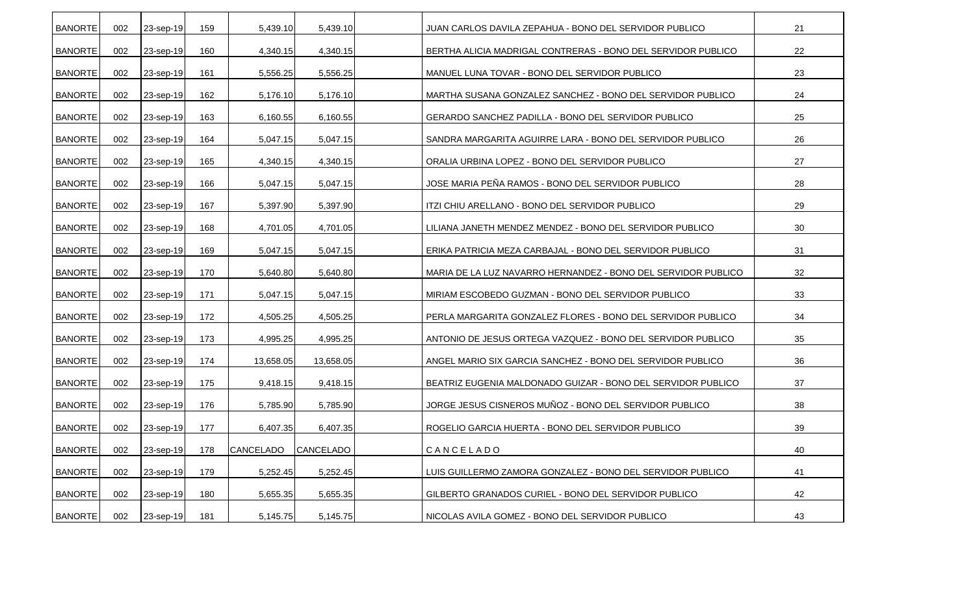| <b>BANORTE</b> | 002 | 23-sep-19 | 159 | 5,439.10         | 5,439.10         | JUAN CARLOS DAVILA ZEPAHUA - BONO DEL SERVIDOR PUBLICO        | 21 |
|----------------|-----|-----------|-----|------------------|------------------|---------------------------------------------------------------|----|
| <b>BANORTE</b> | 002 | 23-sep-19 | 160 | 4,340.15         | 4,340.15         | BERTHA ALICIA MADRIGAL CONTRERAS - BONO DEL SERVIDOR PUBLICO  | 22 |
| <b>BANORTE</b> | 002 | 23-sep-19 | 161 | 5,556.25         | 5,556.25         | MANUEL LUNA TOVAR - BONO DEL SERVIDOR PUBLICO                 | 23 |
| <b>BANORTE</b> | 002 | 23-sep-19 | 162 | 5,176.10         | 5,176.10         | MARTHA SUSANA GONZALEZ SANCHEZ - BONO DEL SERVIDOR PUBLICO    | 24 |
| <b>BANORTE</b> | 002 | 23-sep-19 | 163 | 6,160.55         | 6,160.55         | GERARDO SANCHEZ PADILLA - BONO DEL SERVIDOR PUBLICO           | 25 |
| <b>BANORTE</b> | 002 | 23-sep-19 | 164 | 5,047.15         | 5,047.15         | SANDRA MARGARITA AGUIRRE LARA - BONO DEL SERVIDOR PUBLICO     | 26 |
| <b>BANORTE</b> | 002 | 23-sep-19 | 165 | 4,340.15         | 4,340.15         | ORALIA URBINA LOPEZ - BONO DEL SERVIDOR PUBLICO               | 27 |
| <b>BANORTE</b> | 002 | 23-sep-19 | 166 | 5,047.15         | 5,047.15         | JOSE MARIA PEÑA RAMOS - BONO DEL SERVIDOR PUBLICO             | 28 |
| <b>BANORTE</b> | 002 | 23-sep-19 | 167 | 5,397.90         | 5,397.90         | ITZI CHIU ARELLANO - BONO DEL SERVIDOR PUBLICO                | 29 |
| <b>BANORTE</b> | 002 | 23-sep-19 | 168 | 4,701.05         | 4,701.05         | LILIANA JANETH MENDEZ MENDEZ - BONO DEL SERVIDOR PUBLICO      | 30 |
| <b>BANORTE</b> | 002 | 23-sep-19 | 169 | 5,047.15         | 5,047.15         | ERIKA PATRICIA MEZA CARBAJAL - BONO DEL SERVIDOR PUBLICO      | 31 |
| <b>BANORTE</b> | 002 | 23-sep-19 | 170 | 5,640.80         | 5,640.80         | MARIA DE LA LUZ NAVARRO HERNANDEZ - BONO DEL SERVIDOR PUBLICO | 32 |
| <b>BANORTE</b> | 002 | 23-sep-19 | 171 | 5,047.15         | 5,047.15         | MIRIAM ESCOBEDO GUZMAN - BONO DEL SERVIDOR PUBLICO            | 33 |
| <b>BANORTE</b> | 002 | 23-sep-19 | 172 | 4,505.25         | 4,505.25         | PERLA MARGARITA GONZALEZ FLORES - BONO DEL SERVIDOR PUBLICO   | 34 |
| <b>BANORTE</b> | 002 | 23-sep-19 | 173 | 4,995.25         | 4,995.25         | ANTONIO DE JESUS ORTEGA VAZQUEZ - BONO DEL SERVIDOR PUBLICO   | 35 |
| <b>BANORTE</b> | 002 | 23-sep-19 | 174 | 13,658.05        | 13,658.05        | ANGEL MARIO SIX GARCIA SANCHEZ - BONO DEL SERVIDOR PUBLICO    | 36 |
| <b>BANORTE</b> | 002 | 23-sep-19 | 175 | 9,418.15         | 9,418.15         | BEATRIZ EUGENIA MALDONADO GUIZAR - BONO DEL SERVIDOR PUBLICO  | 37 |
| <b>BANORTE</b> | 002 | 23-sep-19 | 176 | 5,785.90         | 5,785.90         | JORGE JESUS CISNEROS MUÑOZ - BONO DEL SERVIDOR PUBLICO        | 38 |
| <b>BANORTE</b> | 002 | 23-sep-19 | 177 | 6,407.35         | 6,407.35         | ROGELIO GARCIA HUERTA - BONO DEL SERVIDOR PUBLICO             | 39 |
| <b>BANORTE</b> | 002 | 23-sep-19 | 178 | <b>CANCELADO</b> | <b>CANCELADO</b> | CANCELADO                                                     | 40 |
| <b>BANORTE</b> | 002 | 23-sep-19 | 179 | 5,252.45         | 5,252.45         | LUIS GUILLERMO ZAMORA GONZALEZ - BONO DEL SERVIDOR PUBLICO    | 41 |
| <b>BANORTE</b> | 002 | 23-sep-19 | 180 | 5,655.35         | 5,655.35         | GILBERTO GRANADOS CURIEL - BONO DEL SERVIDOR PUBLICO          | 42 |
| <b>BANORTE</b> | 002 | 23-sep-19 | 181 | 5,145.75         | 5,145.75         | NICOLAS AVILA GOMEZ - BONO DEL SERVIDOR PUBLICO               | 43 |
|                |     |           |     |                  |                  |                                                               |    |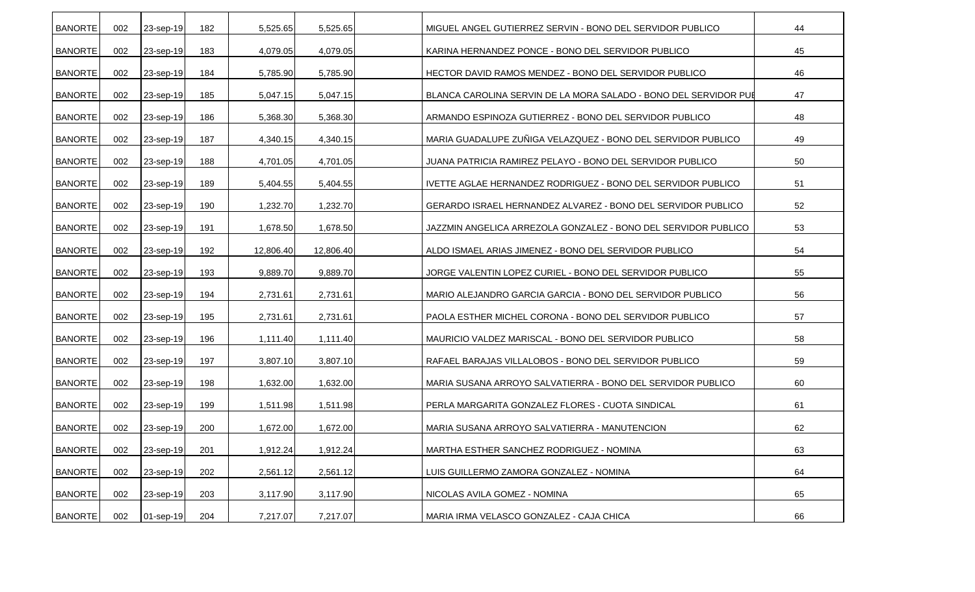| <b>BANORTE</b> | 002 | 23-sep-19 | 182 | 5,525.65  | 5,525.65  | MIGUEL ANGEL GUTIERREZ SERVIN - BONO DEL SERVIDOR PUBLICO        | 44 |
|----------------|-----|-----------|-----|-----------|-----------|------------------------------------------------------------------|----|
| <b>BANORTE</b> | 002 | 23-sep-19 | 183 | 4,079.05  | 4,079.05  | KARINA HERNANDEZ PONCE - BONO DEL SERVIDOR PUBLICO               | 45 |
| <b>BANORTE</b> | 002 | 23-sep-19 | 184 | 5,785.90  | 5,785.90  | HECTOR DAVID RAMOS MENDEZ - BONO DEL SERVIDOR PUBLICO            | 46 |
| <b>BANORTE</b> | 002 | 23-sep-19 | 185 | 5,047.15  | 5,047.15  | BLANCA CAROLINA SERVIN DE LA MORA SALADO - BONO DEL SERVIDOR PUI | 47 |
| <b>BANORTE</b> | 002 | 23-sep-19 | 186 | 5,368.30  | 5,368.30  | ARMANDO ESPINOZA GUTIERREZ - BONO DEL SERVIDOR PUBLICO           | 48 |
| <b>BANORTE</b> | 002 | 23-sep-19 | 187 | 4,340.15  | 4,340.15  | MARIA GUADALUPE ZUÑIGA VELAZQUEZ - BONO DEL SERVIDOR PUBLICO     | 49 |
| <b>BANORTE</b> | 002 | 23-sep-19 | 188 | 4,701.05  | 4,701.05  | JUANA PATRICIA RAMIREZ PELAYO - BONO DEL SERVIDOR PUBLICO        | 50 |
| <b>BANORTE</b> | 002 | 23-sep-19 | 189 | 5,404.55  | 5,404.55  | IVETTE AGLAE HERNANDEZ RODRIGUEZ - BONO DEL SERVIDOR PUBLICO     | 51 |
| <b>BANORTE</b> | 002 | 23-sep-19 | 190 | 1,232.70  | 1,232.70  | GERARDO ISRAEL HERNANDEZ ALVAREZ - BONO DEL SERVIDOR PUBLICO     | 52 |
| <b>BANORTE</b> | 002 | 23-sep-19 | 191 | 1,678.50  | 1,678.50  | JAZZMIN ANGELICA ARREZOLA GONZALEZ - BONO DEL SERVIDOR PUBLICO   | 53 |
| <b>BANORTE</b> | 002 | 23-sep-19 | 192 | 12,806.40 | 12,806.40 | ALDO ISMAEL ARIAS JIMENEZ - BONO DEL SERVIDOR PUBLICO            | 54 |
| <b>BANORTE</b> | 002 | 23-sep-19 | 193 | 9,889.70  | 9,889.70  | JORGE VALENTIN LOPEZ CURIEL - BONO DEL SERVIDOR PUBLICO          | 55 |
| <b>BANORTE</b> | 002 | 23-sep-19 | 194 | 2,731.61  | 2,731.61  | MARIO ALEJANDRO GARCIA GARCIA - BONO DEL SERVIDOR PUBLICO        | 56 |
| <b>BANORTE</b> | 002 | 23-sep-19 | 195 | 2,731.61  | 2,731.61  | PAOLA ESTHER MICHEL CORONA - BONO DEL SERVIDOR PUBLICO           | 57 |
| <b>BANORTE</b> | 002 | 23-sep-19 | 196 | 1,111.40  | 1,111.40  | MAURICIO VALDEZ MARISCAL - BONO DEL SERVIDOR PUBLICO             | 58 |
| <b>BANORTE</b> | 002 | 23-sep-19 | 197 | 3,807.10  | 3,807.10  | RAFAEL BARAJAS VILLALOBOS - BONO DEL SERVIDOR PUBLICO            | 59 |
| <b>BANORTE</b> | 002 | 23-sep-19 | 198 | 1,632.00  | 1,632.00  | MARIA SUSANA ARROYO SALVATIERRA - BONO DEL SERVIDOR PUBLICO      | 60 |
| <b>BANORTE</b> | 002 | 23-sep-19 | 199 | 1,511.98  | 1,511.98  | PERLA MARGARITA GONZALEZ FLORES - CUOTA SINDICAL                 | 61 |
| <b>BANORTE</b> | 002 | 23-sep-19 | 200 | 1,672.00  | 1,672.00  | MARIA SUSANA ARROYO SALVATIERRA - MANUTENCION                    | 62 |
| <b>BANORTE</b> | 002 | 23-sep-19 | 201 | 1,912.24  | 1,912.24  | MARTHA ESTHER SANCHEZ RODRIGUEZ - NOMINA                         | 63 |
| <b>BANORTE</b> | 002 | 23-sep-19 | 202 | 2,561.12  | 2,561.12  | LUIS GUILLERMO ZAMORA GONZALEZ - NOMINA                          | 64 |
| <b>BANORTE</b> | 002 | 23-sep-19 | 203 | 3,117.90  | 3,117.90  | NICOLAS AVILA GOMEZ - NOMINA                                     | 65 |
| <b>BANORTE</b> | 002 | 01-sep-19 | 204 | 7,217.07  | 7,217.07  | MARIA IRMA VELASCO GONZALEZ - CAJA CHICA                         | 66 |